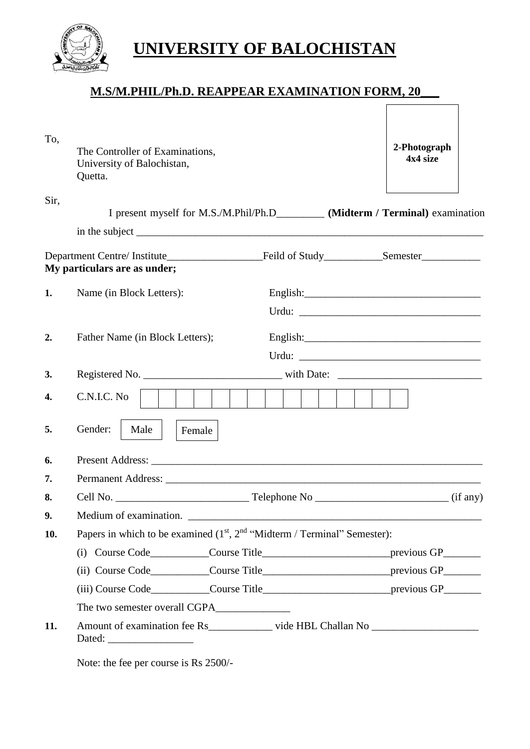

## **UNIVERSITY OF BALOCHISTAN**

## **M.S/M.PHIL/Ph.D. REAPPEAR EXAMINATION FORM, 20\_\_\_**

| To,  | The Controller of Examinations,<br>University of Balochistan,<br>Quetta.                                                                                                                                                                                                                             | 2-Photograph<br>4x4 size |  |  |  |  |
|------|------------------------------------------------------------------------------------------------------------------------------------------------------------------------------------------------------------------------------------------------------------------------------------------------------|--------------------------|--|--|--|--|
| Sir, | I present myself for M.S./M.Phil/Ph.D___________ (Midterm / Terminal) examination                                                                                                                                                                                                                    |                          |  |  |  |  |
|      |                                                                                                                                                                                                                                                                                                      |                          |  |  |  |  |
|      | Department Centre/Institute<br>Feild of Study<br>Semester <u>Semester</u> Semester Semester Semester Semester Semester Semester Semester Semester Semester Semester Semester Semester Semester Semester Semester Semester Semester Semester Semester Semester Semest<br>My particulars are as under; |                          |  |  |  |  |
| 1.   | Name (in Block Letters):<br>English: $\qquad \qquad$ English:                                                                                                                                                                                                                                        |                          |  |  |  |  |
|      |                                                                                                                                                                                                                                                                                                      |                          |  |  |  |  |
|      |                                                                                                                                                                                                                                                                                                      |                          |  |  |  |  |
| 2.   | Father Name (in Block Letters);                                                                                                                                                                                                                                                                      |                          |  |  |  |  |
| 3.   |                                                                                                                                                                                                                                                                                                      |                          |  |  |  |  |
|      |                                                                                                                                                                                                                                                                                                      |                          |  |  |  |  |
| 4.   | C.N.I.C. No                                                                                                                                                                                                                                                                                          |                          |  |  |  |  |
| 5.   | Gender:<br>Male<br>Female                                                                                                                                                                                                                                                                            |                          |  |  |  |  |
| 6.   |                                                                                                                                                                                                                                                                                                      |                          |  |  |  |  |
| 7.   |                                                                                                                                                                                                                                                                                                      |                          |  |  |  |  |
| 8.   |                                                                                                                                                                                                                                                                                                      |                          |  |  |  |  |
| 9.   | Medium of examination.                                                                                                                                                                                                                                                                               |                          |  |  |  |  |
| 10.  | Papers in which to be examined $(1st, 2nd$ "Midterm / Terminal" Semester):                                                                                                                                                                                                                           |                          |  |  |  |  |
|      |                                                                                                                                                                                                                                                                                                      |                          |  |  |  |  |
|      |                                                                                                                                                                                                                                                                                                      |                          |  |  |  |  |
|      |                                                                                                                                                                                                                                                                                                      |                          |  |  |  |  |
|      |                                                                                                                                                                                                                                                                                                      |                          |  |  |  |  |
| 11.  | Amount of examination fee Rs vide HBL Challan No                                                                                                                                                                                                                                                     |                          |  |  |  |  |

Note: the fee per course is Rs 2500/-